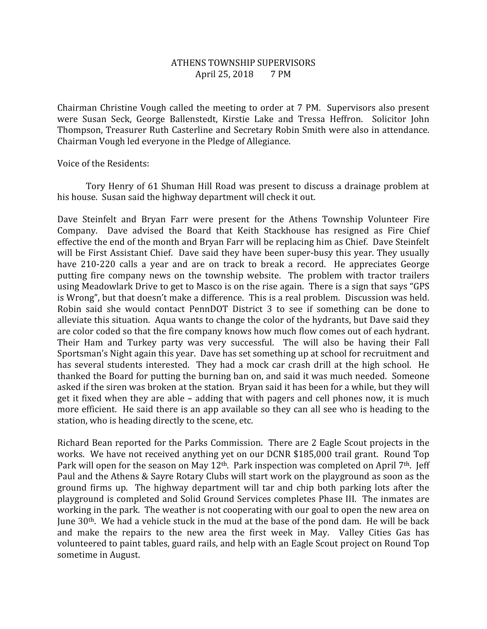## ATHENS TOWNSHIP SUPERVISORS April 25, 2018 7 PM

Chairman Christine Vough called the meeting to order at 7 PM. Supervisors also present were Susan Seck, George Ballenstedt, Kirstie Lake and Tressa Heffron. Solicitor John Thompson, Treasurer Ruth Casterline and Secretary Robin Smith were also in attendance. Chairman Vough led everyone in the Pledge of Allegiance.

Voice of the Residents:

 Tory Henry of 61 Shuman Hill Road was present to discuss a drainage problem at his house. Susan said the highway department will check it out.

Dave Steinfelt and Bryan Farr were present for the Athens Township Volunteer Fire Company. Dave advised the Board that Keith Stackhouse has resigned as Fire Chief effective the end of the month and Bryan Farr will be replacing him as Chief. Dave Steinfelt will be First Assistant Chief. Dave said they have been super-busy this year. They usually have 210-220 calls a year and are on track to break a record. He appreciates George putting fire company news on the township website. The problem with tractor trailers using Meadowlark Drive to get to Masco is on the rise again. There is a sign that says "GPS is Wrong", but that doesn't make a difference. This is a real problem. Discussion was held. Robin said she would contact PennDOT District 3 to see if something can be done to alleviate this situation. Aqua wants to change the color of the hydrants, but Dave said they are color coded so that the fire company knows how much flow comes out of each hydrant. Their Ham and Turkey party was very successful. The will also be having their Fall Sportsman's Night again this year. Dave has set something up at school for recruitment and has several students interested. They had a mock car crash drill at the high school. He thanked the Board for putting the burning ban on, and said it was much needed. Someone asked if the siren was broken at the station. Bryan said it has been for a while, but they will get it fixed when they are able – adding that with pagers and cell phones now, it is much more efficient. He said there is an app available so they can all see who is heading to the station, who is heading directly to the scene, etc.

Richard Bean reported for the Parks Commission. There are 2 Eagle Scout projects in the works. We have not received anything yet on our DCNR \$185,000 trail grant. Round Top Park will open for the season on May 12<sup>th</sup>. Park inspection was completed on April 7<sup>th</sup>. Jeff Paul and the Athens & Sayre Rotary Clubs will start work on the playground as soon as the ground firms up. The highway department will tar and chip both parking lots after the playground is completed and Solid Ground Services completes Phase III. The inmates are working in the park. The weather is not cooperating with our goal to open the new area on June 30th. We had a vehicle stuck in the mud at the base of the pond dam. He will be back and make the repairs to the new area the first week in May. Valley Cities Gas has volunteered to paint tables, guard rails, and help with an Eagle Scout project on Round Top sometime in August.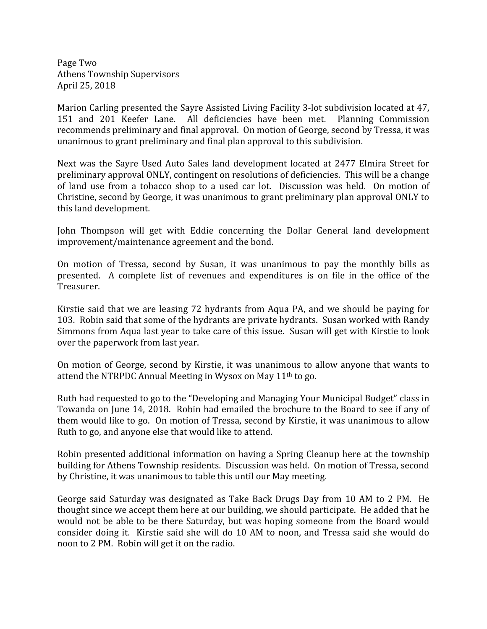Page Two Athens Township Supervisors April 25, 2018

Marion Carling presented the Sayre Assisted Living Facility 3-lot subdivision located at 47, 151 and 201 Keefer Lane. All deficiencies have been met. Planning Commission recommends preliminary and final approval. On motion of George, second by Tressa, it was unanimous to grant preliminary and final plan approval to this subdivision.

Next was the Sayre Used Auto Sales land development located at 2477 Elmira Street for preliminary approval ONLY, contingent on resolutions of deficiencies. This will be a change of land use from a tobacco shop to a used car lot. Discussion was held. On motion of Christine, second by George, it was unanimous to grant preliminary plan approval ONLY to this land development.

John Thompson will get with Eddie concerning the Dollar General land development improvement/maintenance agreement and the bond.

On motion of Tressa, second by Susan, it was unanimous to pay the monthly bills as presented. A complete list of revenues and expenditures is on file in the office of the Treasurer.

Kirstie said that we are leasing 72 hydrants from Aqua PA, and we should be paying for 103. Robin said that some of the hydrants are private hydrants. Susan worked with Randy Simmons from Aqua last year to take care of this issue. Susan will get with Kirstie to look over the paperwork from last year.

On motion of George, second by Kirstie, it was unanimous to allow anyone that wants to attend the NTRPDC Annual Meeting in Wysox on May 11<sup>th</sup> to go.

Ruth had requested to go to the "Developing and Managing Your Municipal Budget" class in Towanda on June 14, 2018. Robin had emailed the brochure to the Board to see if any of them would like to go. On motion of Tressa, second by Kirstie, it was unanimous to allow Ruth to go, and anyone else that would like to attend.

Robin presented additional information on having a Spring Cleanup here at the township building for Athens Township residents. Discussion was held. On motion of Tressa, second by Christine, it was unanimous to table this until our May meeting.

George said Saturday was designated as Take Back Drugs Day from 10 AM to 2 PM. He thought since we accept them here at our building, we should participate. He added that he would not be able to be there Saturday, but was hoping someone from the Board would consider doing it. Kirstie said she will do 10 AM to noon, and Tressa said she would do noon to 2 PM. Robin will get it on the radio.